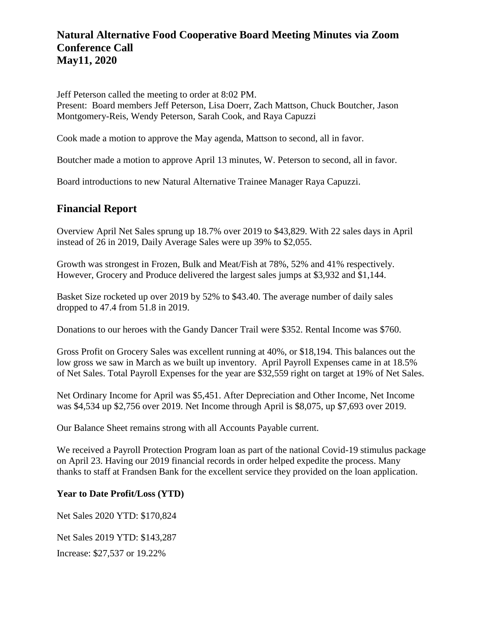### **Natural Alternative Food Cooperative Board Meeting Minutes via Zoom Conference Call May11, 2020**

Jeff Peterson called the meeting to order at 8:02 PM.

Present: Board members Jeff Peterson, Lisa Doerr, Zach Mattson, Chuck Boutcher, Jason Montgomery-Reis, Wendy Peterson, Sarah Cook, and Raya Capuzzi

Cook made a motion to approve the May agenda, Mattson to second, all in favor.

Boutcher made a motion to approve April 13 minutes, W. Peterson to second, all in favor.

Board introductions to new Natural Alternative Trainee Manager Raya Capuzzi.

### **Financial Report**

Overview April Net Sales sprung up 18.7% over 2019 to \$43,829. With 22 sales days in April instead of 26 in 2019, Daily Average Sales were up 39% to \$2,055.

Growth was strongest in Frozen, Bulk and Meat/Fish at 78%, 52% and 41% respectively. However, Grocery and Produce delivered the largest sales jumps at \$3,932 and \$1,144.

Basket Size rocketed up over 2019 by 52% to \$43.40. The average number of daily sales dropped to 47.4 from 51.8 in 2019.

Donations to our heroes with the Gandy Dancer Trail were \$352. Rental Income was \$760.

Gross Profit on Grocery Sales was excellent running at 40%, or \$18,194. This balances out the low gross we saw in March as we built up inventory. April Payroll Expenses came in at 18.5% of Net Sales. Total Payroll Expenses for the year are \$32,559 right on target at 19% of Net Sales.

Net Ordinary Income for April was \$5,451. After Depreciation and Other Income, Net Income was \$4,534 up \$2,756 over 2019. Net Income through April is \$8,075, up \$7,693 over 2019.

Our Balance Sheet remains strong with all Accounts Payable current.

We received a Payroll Protection Program loan as part of the national Covid-19 stimulus package on April 23. Having our 2019 financial records in order helped expedite the process. Many thanks to staff at Frandsen Bank for the excellent service they provided on the loan application.

#### **Year to Date Profit/Loss (YTD)**

Net Sales 2020 YTD: \$170,824

Net Sales 2019 YTD: \$143,287

Increase: \$27,537 or 19.22%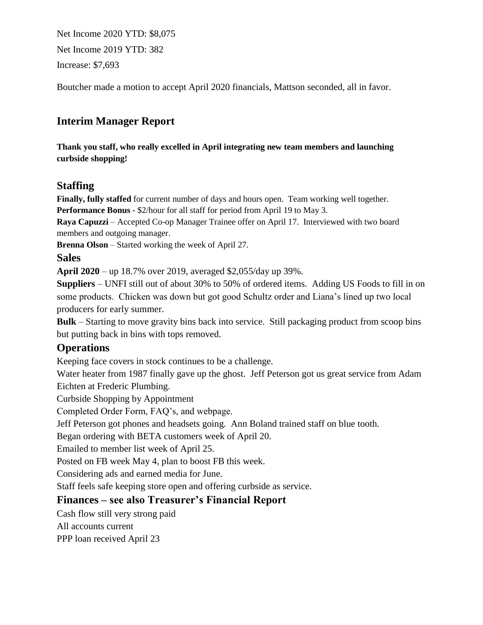Net Income 2020 YTD: \$8,075 Net Income 2019 YTD: 382 Increase: \$7,693

Boutcher made a motion to accept April 2020 financials, Mattson seconded, all in favor.

## **Interim Manager Report**

**Thank you staff, who really excelled in April integrating new team members and launching curbside shopping!** 

### **Staffing**

**Finally, fully staffed** for current number of days and hours open. Team working well together. **Performance Bonus** - \$2/hour for all staff for period from April 19 to May 3.

**Raya Capuzzi** – Accepted Co-op Manager Trainee offer on April 17. Interviewed with two board members and outgoing manager.

**Brenna Olson** – Started working the week of April 27.

#### **Sales**

**April 2020** – up 18.7% over 2019, averaged \$2,055/day up 39%.

**Suppliers** – UNFI still out of about 30% to 50% of ordered items. Adding US Foods to fill in on some products. Chicken was down but got good Schultz order and Liana's lined up two local producers for early summer.

**Bulk** – Starting to move gravity bins back into service. Still packaging product from scoop bins but putting back in bins with tops removed.

#### **Operations**

Keeping face covers in stock continues to be a challenge.

Water heater from 1987 finally gave up the ghost. Jeff Peterson got us great service from Adam Eichten at Frederic Plumbing.

Curbside Shopping by Appointment

Completed Order Form, FAQ's, and webpage.

Jeff Peterson got phones and headsets going. Ann Boland trained staff on blue tooth.

Began ordering with BETA customers week of April 20.

Emailed to member list week of April 25.

Posted on FB week May 4, plan to boost FB this week.

Considering ads and earned media for June.

Staff feels safe keeping store open and offering curbside as service.

#### **Finances – see also Treasurer's Financial Report**

Cash flow still very strong paid

All accounts current

PPP loan received April 23